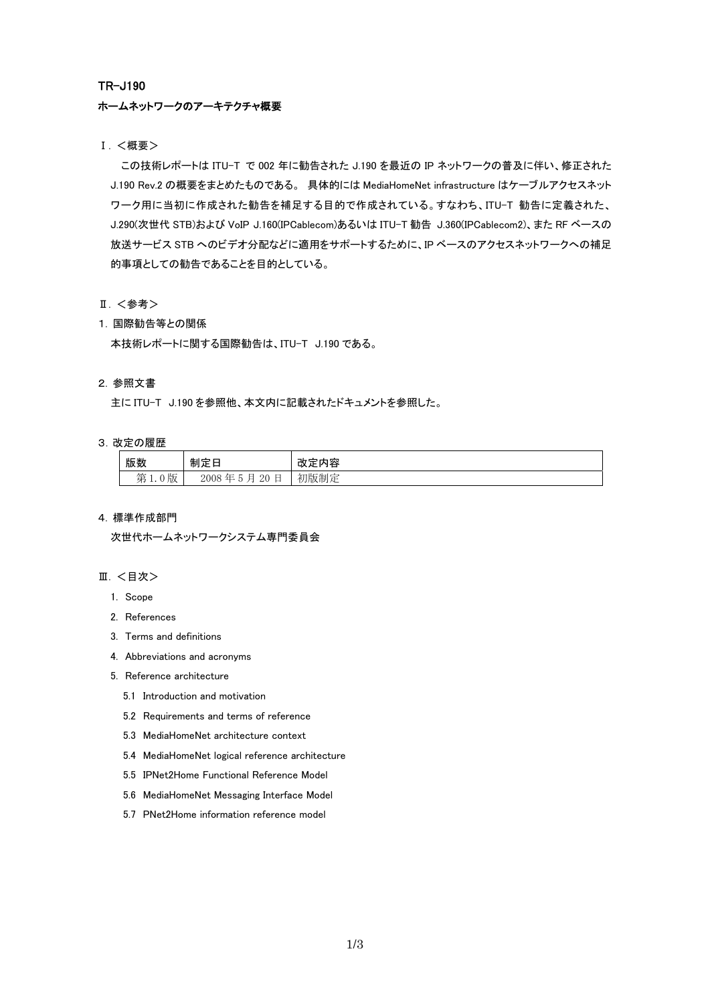### TR-J190

### ホームネットワークのアーキテクチャ概要

Ⅰ. <概要>

この技術レポートは ITU-T で 002 年に勧告された J.190 を最近の IP ネットワークの普及に伴い、修正された J.190 Rev.2 の概要をまとめたものである。 具体的には MediaHomeNet infrastructure はケーブルアクセスネット ワーク用に当初に作成された勧告を補足する目的で作成されている。すなわち、ITU-T 勧告に定義された、 J.290(次世代 STB)および VoIP J.160(IPCablecom)あるいは ITU-T 勧告 J.360(IPCablecom2)、また RF ベースの 放送サービス STB へのビデオ分配などに適用をサポートするために、IP ベースのアクセスネットワークへの補足 的事項としての勧告であることを目的としている。

- Ⅱ. <参考>
- 1. 国際勧告等との関係

本技術レポートに関する国際勧告は、ITU-T J.190 である。

### 2. 参照文書

主に ITU-T J.190 を参照他、本文内に記載されたドキュメントを参照した。

### 3. 改定の履歴

| 版数                            | 制定日                                                  | 容<br>'<br>ΓY<br>. .         |
|-------------------------------|------------------------------------------------------|-----------------------------|
| $\mathbf{r}$<br>第<br>放<br>t.v | $\sim$<br>20<br>2008<br>∼<br><br>. .<br>--<br>◡<br>⊢ | 初版制定<br>and a series of the |

#### 4. 標準作成部門

次世代ホームネットワークシステム専門委員会

### Ⅲ. <目次>

- 1. Scope
- 2. References
- 3. Terms and definitions
- 4. Abbreviations and acronyms
- 5. Reference architecture
	- 5.1 Introduction and motivation
	- 5.2 Requirements and terms of reference
	- 5.3 MediaHomeNet architecture context
	- 5.4 MediaHomeNet logical reference architecture
	- 5.5 IPNet2Home Functional Reference Model
	- 5.6 MediaHomeNet Messaging Interface Model
	- 5.7 PNet2Home information reference model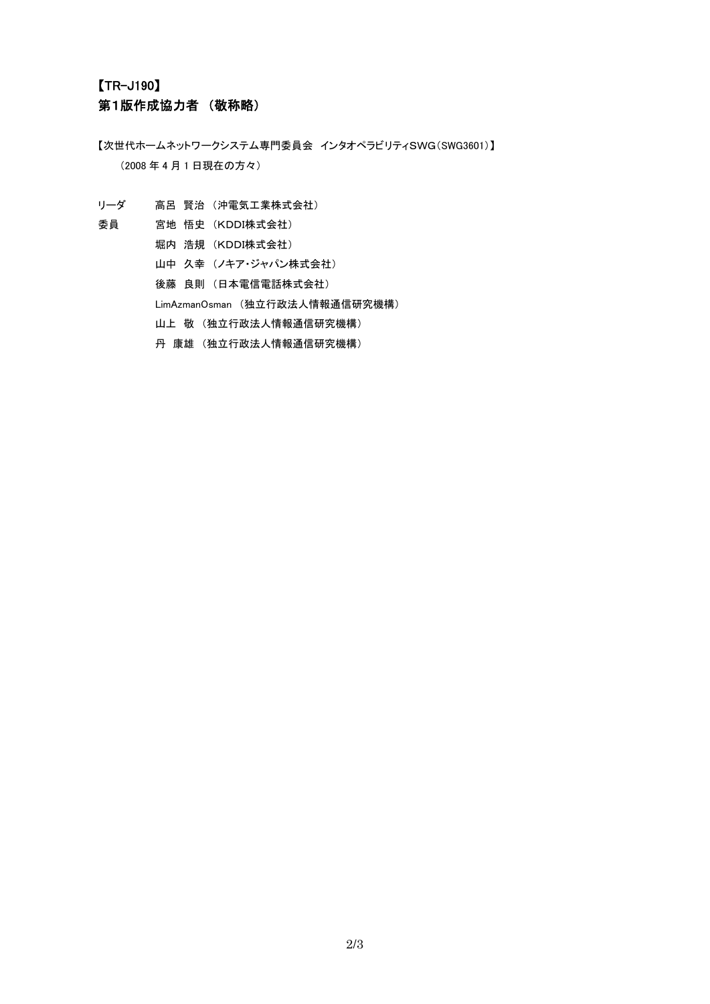# 【TR-J190】 第1版作成協力者 (敬称略)

【次世代ホームネットワークシステム専門委員会 インタオペラビリティSWG(SWG3601)】 (2008 年 4 月 1 日現在の方々)

- リーダ 高呂 賢治 (沖電気工業株式会社)
- 
- 委員 宮地 悟史 (KDDI株式会社)
	- 堀内 浩規 (KDDI株式会社)
	- 山中 久幸 (ノキア・ジャパン株式会社)
	- 後藤 良則 (日本電信電話株式会社)
	- LimAzmanOsman (独立行政法人情報通信研究機構)
	- 山上 敬 (独立行政法人情報通信研究機構)
	- 丹 康雄 (独立行政法人情報通信研究機構)